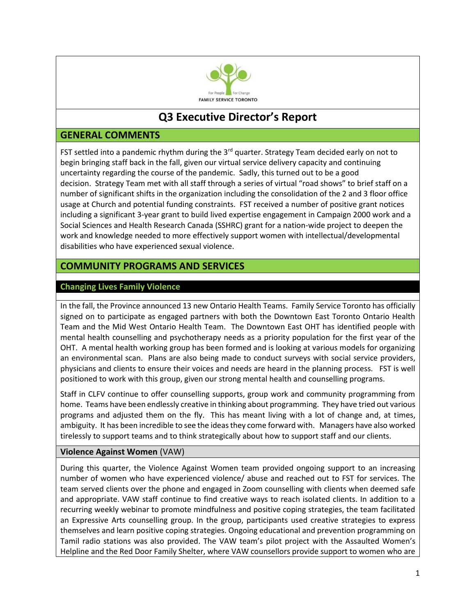

# **Q3 Executive Director's Report**

### **GENERAL COMMENTS**

FST settled into a pandemic rhythm during the 3<sup>rd</sup> quarter. Strategy Team decided early on not to begin bringing staff back in the fall, given our virtual service delivery capacity and continuing uncertainty regarding the course of the pandemic. Sadly, this turned out to be a good decision. Strategy Team met with all staff through a series of virtual "road shows" to brief staff on a number of significant shifts in the organization including the consolidation of the 2 and 3 floor office usage at Church and potential funding constraints. FST received a number of positive grant notices including a significant 3-year grant to build lived expertise engagement in Campaign 2000 work and a Social Sciences and Health Research Canada (SSHRC) grant for a nation-wide project to deepen the work and knowledge needed to more effectively support women with intellectual/developmental disabilities who have experienced sexual violence.

# **COMMUNITY PROGRAMS AND SERVICES**

### **Changing Lives Family Violence**

In the fall, the Province announced 13 new Ontario Health Teams. Family Service Toronto has officially signed on to participate as engaged partners with both the Downtown East Toronto Ontario Health Team and the Mid West Ontario Health Team. The Downtown East OHT has identified people with mental health counselling and psychotherapy needs as a priority population for the first year of the OHT. A mental health working group has been formed and is looking at various models for organizing an environmental scan. Plans are also being made to conduct surveys with social service providers, physicians and clients to ensure their voices and needs are heard in the planning process. FST is well positioned to work with this group, given our strong mental health and counselling programs.

Staff in CLFV continue to offer counselling supports, group work and community programming from home. Teams have been endlessly creative in thinking about programming. They have tried out various programs and adjusted them on the fly. This has meant living with a lot of change and, at times, ambiguity. It has been incredible to see the ideas they come forward with. Managers have also worked tirelessly to support teams and to think strategically about how to support staff and our clients.

### **Violence Against Women** (VAW)

During this quarter, the Violence Against Women team provided ongoing support to an increasing number of women who have experienced violence/ abuse and reached out to FST for services. The team served clients over the phone and engaged in Zoom counselling with clients when deemed safe and appropriate. VAW staff continue to find creative ways to reach isolated clients. In addition to a recurring weekly webinar to promote mindfulness and positive coping strategies, the team facilitated an Expressive Arts counselling group. In the group, participants used creative strategies to express themselves and learn positive coping strategies. Ongoing educational and prevention programming on Tamil radio stations was also provided. The VAW team's pilot project with the Assaulted Women's Helpline and the Red Door Family Shelter, where VAW counsellors provide support to women who are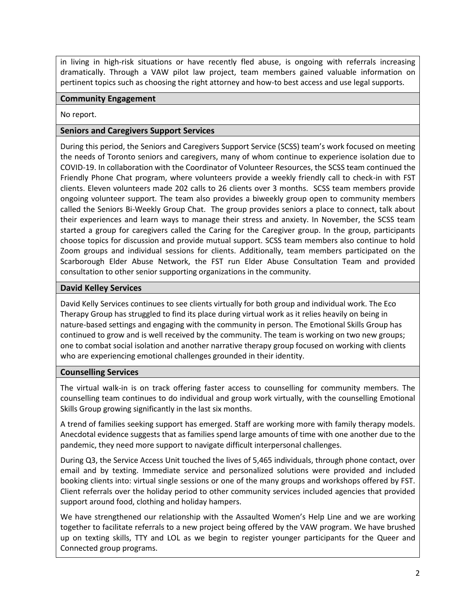in living in high-risk situations or have recently fled abuse, is ongoing with referrals increasing dramatically. Through a VAW pilot law project, team members gained valuable information on pertinent topics such as choosing the right attorney and how-to best access and use legal supports.

### **Community Engagement**

### No report.

### **Seniors and Caregivers Support Services**

During this period, the Seniors and Caregivers Support Service (SCSS) team's work focused on meeting the needs of Toronto seniors and caregivers, many of whom continue to experience isolation due to COVID-19. In collaboration with the Coordinator of Volunteer Resources, the SCSS team continued the Friendly Phone Chat program, where volunteers provide a weekly friendly call to check-in with FST clients. Eleven volunteers made 202 calls to 26 clients over 3 months. SCSS team members provide ongoing volunteer support. The team also provides a biweekly group open to community members called the Seniors Bi-Weekly Group Chat. The group provides seniors a place to connect, talk about their experiences and learn ways to manage their stress and anxiety. In November, the SCSS team started a group for caregivers called the Caring for the Caregiver group. In the group, participants choose topics for discussion and provide mutual support. SCSS team members also continue to hold Zoom groups and individual sessions for clients. Additionally, team members participated on the Scarborough Elder Abuse Network, the FST run Elder Abuse Consultation Team and provided consultation to other senior supporting organizations in the community.

### **David Kelley Services**

David Kelly Services continues to see clients virtually for both group and individual work. The Eco Therapy Group has struggled to find its place during virtual work as it relies heavily on being in nature-based settings and engaging with the community in person. The Emotional Skills Group has continued to grow and is well received by the community. The team is working on two new groups; one to combat social isolation and another narrative therapy group focused on working with clients who are experiencing emotional challenges grounded in their identity.

### **Counselling Services**

The virtual walk-in is on track offering faster access to counselling for community members. The counselling team continues to do individual and group work virtually, with the counselling Emotional Skills Group growing significantly in the last six months.

A trend of families seeking support has emerged. Staff are working more with family therapy models. Anecdotal evidence suggests that as families spend large amounts of time with one another due to the pandemic, they need more support to navigate difficult interpersonal challenges.

During Q3, the Service Access Unit touched the lives of 5,465 individuals, through phone contact, over email and by texting. Immediate service and personalized solutions were provided and included booking clients into: virtual single sessions or one of the many groups and workshops offered by FST. Client referrals over the holiday period to other community services included agencies that provided support around food, clothing and holiday hampers.

We have strengthened our relationship with the Assaulted Women's Help Line and we are working together to facilitate referrals to a new project being offered by the VAW program. We have brushed up on texting skills, TTY and LOL as we begin to register younger participants for the Queer and Connected group programs.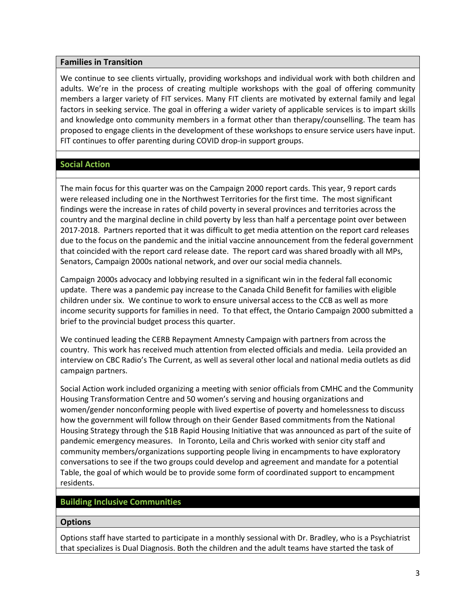### **Families in Transition**

We continue to see clients virtually, providing workshops and individual work with both children and adults. We're in the process of creating multiple workshops with the goal of offering community members a larger variety of FIT services. Many FIT clients are motivated by external family and legal factors in seeking service. The goal in offering a wider variety of applicable services is to impart skills and knowledge onto community members in a format other than therapy/counselling. The team has proposed to engage clients in the development of these workshops to ensure service users have input. FIT continues to offer parenting during COVID drop-in support groups.

### **Social Action**

The main focus for this quarter was on the Campaign 2000 report cards. This year, 9 report cards were released including one in the Northwest Territories for the first time. The most significant findings were the increase in rates of child poverty in several provinces and territories across the country and the marginal decline in child poverty by less than half a percentage point over between 2017-2018. Partners reported that it was difficult to get media attention on the report card releases due to the focus on the pandemic and the initial vaccine announcement from the federal government that coincided with the report card release date. The report card was shared broadly with all MPs, Senators, Campaign 2000s national network, and over our social media channels.

Campaign 2000s advocacy and lobbying resulted in a significant win in the federal fall economic update. There was a pandemic pay increase to the Canada Child Benefit for families with eligible children under six. We continue to work to ensure universal access to the CCB as well as more income security supports for families in need. To that effect, the Ontario Campaign 2000 submitted a brief to the provincial budget process this quarter.

We continued leading the CERB Repayment Amnesty Campaign with partners from across the country. This work has received much attention from elected officials and media. Leila provided an interview on CBC Radio's The Current, as well as several other local and national media outlets as did campaign partners.

Social Action work included organizing a meeting with senior officials from CMHC and the Community Housing Transformation Centre and 50 women's serving and housing organizations and women/gender nonconforming people with lived expertise of poverty and homelessness to discuss how the government will follow through on their Gender Based commitments from the National Housing Strategy through the \$1B Rapid Housing Initiative that was announced as part of the suite of pandemic emergency measures. In Toronto, Leila and Chris worked with senior city staff and community members/organizations supporting people living in encampments to have exploratory conversations to see if the two groups could develop and agreement and mandate for a potential Table, the goal of which would be to provide some form of coordinated support to encampment residents.

### **Building Inclusive Communities**

### **Options**

Options staff have started to participate in a monthly sessional with Dr. Bradley, who is a Psychiatrist that specializes is Dual Diagnosis. Both the children and the adult teams have started the task of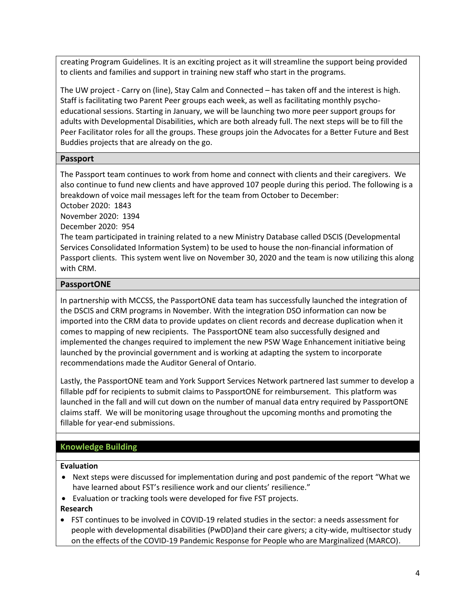creating Program Guidelines. It is an exciting project as it will streamline the support being provided to clients and families and support in training new staff who start in the programs.

The UW project - Carry on (line), Stay Calm and Connected – has taken off and the interest is high. Staff is facilitating two Parent Peer groups each week, as well as facilitating monthly psychoeducational sessions. Starting in January, we will be launching two more peer support groups for adults with Developmental Disabilities, which are both already full. The next steps will be to fill the Peer Facilitator roles for all the groups. These groups join the Advocates for a Better Future and Best Buddies projects that are already on the go.

### **Passport**

The Passport team continues to work from home and connect with clients and their caregivers. We also continue to fund new clients and have approved 107 people during this period. The following is a breakdown of voice mail messages left for the team from October to December:

October 2020: 1843

November 2020: 1394

December 2020: 954

The team participated in training related to a new Ministry Database called DSCIS (Developmental Services Consolidated Information System) to be used to house the non-financial information of Passport clients. This system went live on November 30, 2020 and the team is now utilizing this along with CRM.

### **PassportONE**

In partnership with MCCSS, the PassportONE data team has successfully launched the integration of the DSCIS and CRM programs in November. With the integration DSO information can now be imported into the CRM data to provide updates on client records and decrease duplication when it comes to mapping of new recipients. The PassportONE team also successfully designed and implemented the changes required to implement the new PSW Wage Enhancement initiative being launched by the provincial government and is working at adapting the system to incorporate recommendations made the Auditor General of Ontario.

Lastly, the PassportONE team and York Support Services Network partnered last summer to develop a fillable pdf for recipients to submit claims to PassportONE for reimbursement. This platform was launched in the fall and will cut down on the number of manual data entry required by PassportONE claims staff. We will be monitoring usage throughout the upcoming months and promoting the fillable for year-end submissions.

### **Knowledge Building**

### **Evaluation**

- Next steps were discussed for implementation during and post pandemic of the report "What we have learned about FST's resilience work and our clients' resilience."
- Evaluation or tracking tools were developed for five FST projects.

### **Research**

• FST continues to be involved in COVID-19 related studies in the sector: a needs assessment for people with developmental disabilities (PwDD)and their care givers; a city-wide, multisector study on the effects of the COVID-19 Pandemic Response for People who are Marginalized (MARCO).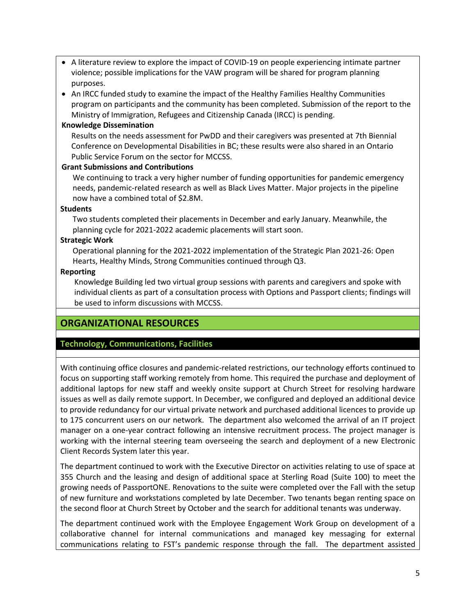- A literature review to explore the impact of COVID-19 on people experiencing intimate partner violence; possible implications for the VAW program will be shared for program planning purposes.
- An IRCC funded study to examine the impact of the Healthy Families Healthy Communities program on participants and the community has been completed. Submission of the report to the Ministry of Immigration, Refugees and Citizenship Canada (IRCC) is pending.

#### **Knowledge Dissemination**

Results on the needs assessment for PwDD and their caregivers was presented at 7th Biennial Conference on Developmental Disabilities in BC; these results were also shared in an Ontario Public Service Forum on the sector for MCCSS.

#### **Grant Submissions and Contributions**

We continuing to track a very higher number of funding opportunities for pandemic emergency needs, pandemic-related research as well as Black Lives Matter. Major projects in the pipeline now have a combined total of \$2.8M.

#### **Students**

Two students completed their placements in December and early January. Meanwhile, the planning cycle for 2021-2022 academic placements will start soon.

#### **Strategic Work**

Operational planning for the 2021-2022 implementation of the Strategic Plan 2021-26: Open Hearts, Healthy Minds, Strong Communities continued through Q3.

#### **Reporting**

Knowledge Building led two virtual group sessions with parents and caregivers and spoke with individual clients as part of a consultation process with Options and Passport clients; findings will be used to inform discussions with MCCSS.

## **ORGANIZATIONAL RESOURCES**

### **Technology, Communications, Facilities**

With continuing office closures and pandemic-related restrictions, our technology efforts continued to focus on supporting staff working remotely from home. This required the purchase and deployment of additional laptops for new staff and weekly onsite support at Church Street for resolving hardware issues as well as daily remote support. In December, we configured and deployed an additional device to provide redundancy for our virtual private network and purchased additional licences to provide up to 175 concurrent users on our network. The department also welcomed the arrival of an IT project manager on a one-year contract following an intensive recruitment process. The project manager is working with the internal steering team overseeing the search and deployment of a new Electronic Client Records System later this year.

The department continued to work with the Executive Director on activities relating to use of space at 355 Church and the leasing and design of additional space at Sterling Road (Suite 100) to meet the growing needs of PassportONE. Renovations to the suite were completed over the Fall with the setup of new furniture and workstations completed by late December. Two tenants began renting space on the second floor at Church Street by October and the search for additional tenants was underway.

The department continued work with the Employee Engagement Work Group on development of a collaborative channel for internal communications and managed key messaging for external communications relating to FST's pandemic response through the fall. The department assisted